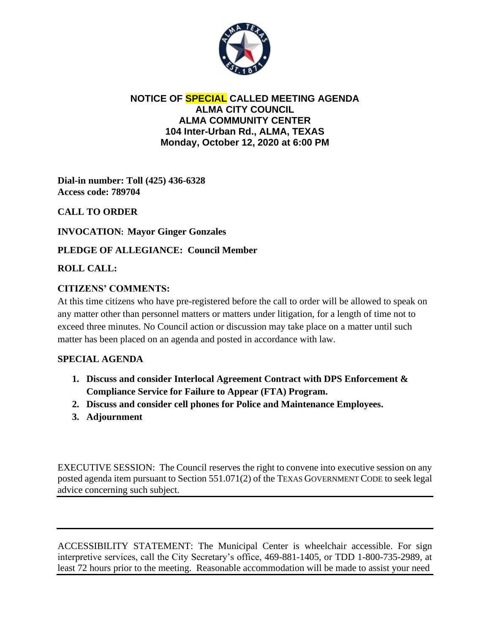

### **NOTICE OF SPECIAL CALLED MEETING AGENDA ALMA CITY COUNCIL ALMA COMMUNITY CENTER 104 Inter-Urban Rd., ALMA, TEXAS Monday, October 12, 2020 at 6:00 PM**

**Dial-in number: Toll (425) 436-6328 Access code: 789704**

# **CALL TO ORDER**

**INVOCATION: Mayor Ginger Gonzales**

## **PLEDGE OF ALLEGIANCE: Council Member**

### **ROLL CALL:**

### **CITIZENS' COMMENTS:**

At this time citizens who have pre-registered before the call to order will be allowed to speak on any matter other than personnel matters or matters under litigation, for a length of time not to exceed three minutes. No Council action or discussion may take place on a matter until such matter has been placed on an agenda and posted in accordance with law.

#### **SPECIAL AGENDA**

- **1. Discuss and consider Interlocal Agreement Contract with DPS Enforcement & Compliance Service for Failure to Appear (FTA) Program.**
- **2. Discuss and consider cell phones for Police and Maintenance Employees.**
- **3. Adjournment**

EXECUTIVE SESSION: The Council reserves the right to convene into executive session on any posted agenda item pursuant to Section 551.071(2) of the TEXAS GOVERNMENT CODE to seek legal advice concerning such subject.

ACCESSIBILITY STATEMENT: The Municipal Center is wheelchair accessible. For sign interpretive services, call the City Secretary's office, 469-881-1405, or TDD 1-800-735-2989, at least 72 hours prior to the meeting. Reasonable accommodation will be made to assist your need